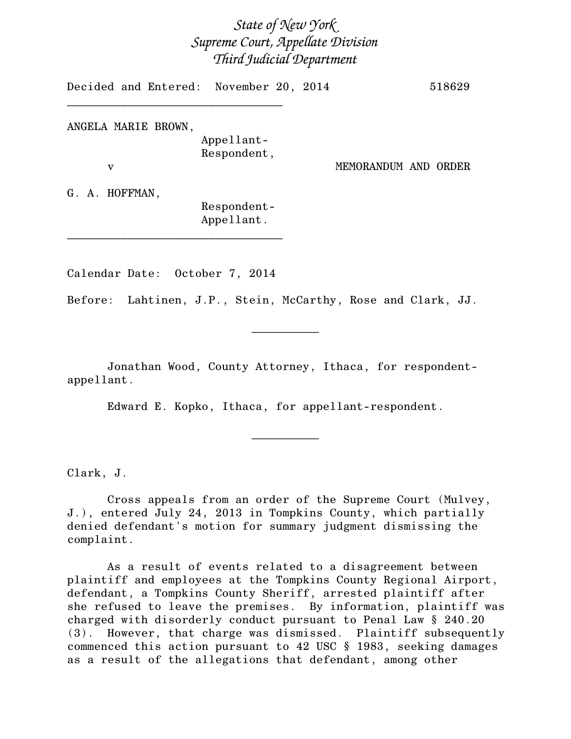## *State of New York Supreme Court, Appellate Division Third Judicial Department*

Decided and Entered: November 20, 2014 518629 \_\_\_\_\_\_\_\_\_\_\_\_\_\_\_\_\_\_\_\_\_\_\_\_\_\_\_\_\_\_\_\_

ANGELA MARIE BROWN, Appellant-Respondent,

v MEMORANDUM AND ORDER

G. A. HOFFMAN,

Respondent-Appellant.

Calendar Date: October 7, 2014

\_\_\_\_\_\_\_\_\_\_\_\_\_\_\_\_\_\_\_\_\_\_\_\_\_\_\_\_\_\_\_\_

Before: Lahtinen, J.P., Stein, McCarthy, Rose and Clark, JJ.

 $\frac{1}{2}$ 

Jonathan Wood, County Attorney, Ithaca, for respondentappellant.

Edward E. Kopko, Ithaca, for appellant-respondent.

 $\overline{\phantom{a}}$   $\overline{\phantom{a}}$   $\overline{\phantom{a}}$   $\overline{\phantom{a}}$   $\overline{\phantom{a}}$   $\overline{\phantom{a}}$   $\overline{\phantom{a}}$   $\overline{\phantom{a}}$   $\overline{\phantom{a}}$   $\overline{\phantom{a}}$   $\overline{\phantom{a}}$   $\overline{\phantom{a}}$   $\overline{\phantom{a}}$   $\overline{\phantom{a}}$   $\overline{\phantom{a}}$   $\overline{\phantom{a}}$   $\overline{\phantom{a}}$   $\overline{\phantom{a}}$   $\overline{\$ 

Clark, J.

Cross appeals from an order of the Supreme Court (Mulvey, J.), entered July 24, 2013 in Tompkins County, which partially denied defendant's motion for summary judgment dismissing the complaint.

As a result of events related to a disagreement between plaintiff and employees at the Tompkins County Regional Airport, defendant, a Tompkins County Sheriff, arrested plaintiff after she refused to leave the premises. By information, plaintiff was charged with disorderly conduct pursuant to Penal Law § 240.20 (3). However, that charge was dismissed. Plaintiff subsequently commenced this action pursuant to 42 USC § 1983, seeking damages as a result of the allegations that defendant, among other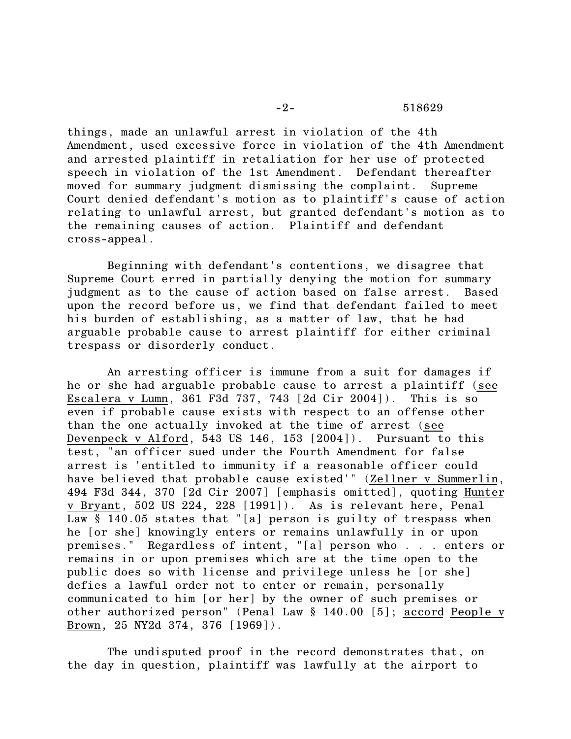things, made an unlawful arrest in violation of the 4th Amendment, used excessive force in violation of the 4th Amendment and arrested plaintiff in retaliation for her use of protected speech in violation of the 1st Amendment. Defendant thereafter moved for summary judgment dismissing the complaint. Supreme Court denied defendant's motion as to plaintiff's cause of action relating to unlawful arrest, but granted defendant's motion as to the remaining causes of action. Plaintiff and defendant cross-appeal.

Beginning with defendant's contentions, we disagree that Supreme Court erred in partially denying the motion for summary judgment as to the cause of action based on false arrest. Based upon the record before us, we find that defendant failed to meet his burden of establishing, as a matter of law, that he had arguable probable cause to arrest plaintiff for either criminal trespass or disorderly conduct.

An arresting officer is immune from a suit for damages if he or she had arguable probable cause to arrest a plaintiff (see Escalera v Lumn, 361 F3d 737, 743 [2d Cir 2004]). This is so even if probable cause exists with respect to an offense other than the one actually invoked at the time of arrest (see Devenpeck v Alford, 543 US 146, 153 [2004]). Pursuant to this test, "an officer sued under the Fourth Amendment for false arrest is 'entitled to immunity if a reasonable officer could have believed that probable cause existed'" (Zellner v Summerlin, 494 F3d 344, 370 [2d Cir 2007] [emphasis omitted], quoting Hunter v Bryant, 502 US 224, 228 [1991]). As is relevant here, Penal Law § 140.05 states that "[a] person is guilty of trespass when he [or she] knowingly enters or remains unlawfully in or upon premises." Regardless of intent, "[a] person who . . . enters or remains in or upon premises which are at the time open to the public does so with license and privilege unless he [or she] defies a lawful order not to enter or remain, personally communicated to him [or her] by the owner of such premises or other authorized person" (Penal Law § 140.00 [5]; accord People v Brown, 25 NY2d 374, 376 [1969]).

The undisputed proof in the record demonstrates that, on the day in question, plaintiff was lawfully at the airport to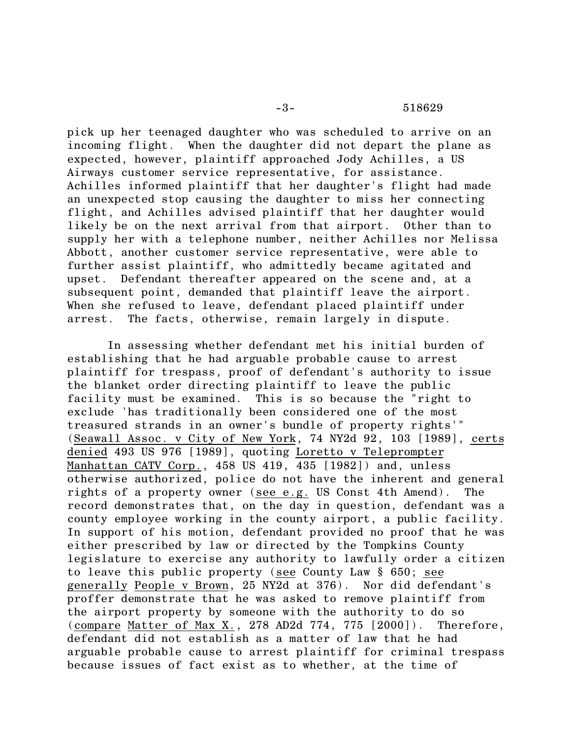pick up her teenaged daughter who was scheduled to arrive on an incoming flight. When the daughter did not depart the plane as expected, however, plaintiff approached Jody Achilles, a US Airways customer service representative, for assistance. Achilles informed plaintiff that her daughter's flight had made an unexpected stop causing the daughter to miss her connecting flight, and Achilles advised plaintiff that her daughter would likely be on the next arrival from that airport. Other than to supply her with a telephone number, neither Achilles nor Melissa Abbott, another customer service representative, were able to further assist plaintiff, who admittedly became agitated and upset. Defendant thereafter appeared on the scene and, at a subsequent point, demanded that plaintiff leave the airport. When she refused to leave, defendant placed plaintiff under arrest. The facts, otherwise, remain largely in dispute.

In assessing whether defendant met his initial burden of establishing that he had arguable probable cause to arrest plaintiff for trespass, proof of defendant's authority to issue the blanket order directing plaintiff to leave the public facility must be examined. This is so because the "right to exclude 'has traditionally been considered one of the most treasured strands in an owner's bundle of property rights'" (Seawall Assoc. v City of New York, 74 NY2d 92, 103 [1989], certs denied 493 US 976 [1989], quoting Loretto v Teleprompter Manhattan CATV Corp., 458 US 419, 435 [1982]) and, unless otherwise authorized, police do not have the inherent and general rights of a property owner (see e.g. US Const 4th Amend). The record demonstrates that, on the day in question, defendant was a county employee working in the county airport, a public facility. In support of his motion, defendant provided no proof that he was either prescribed by law or directed by the Tompkins County legislature to exercise any authority to lawfully order a citizen to leave this public property (see County Law § 650; see generally People v Brown, 25 NY2d at 376). Nor did defendant's proffer demonstrate that he was asked to remove plaintiff from the airport property by someone with the authority to do so  $(compare$  Matter of Max X., 278 AD2d 774, 775 [2000]). Therefore, defendant did not establish as a matter of law that he had arguable probable cause to arrest plaintiff for criminal trespass because issues of fact exist as to whether, at the time of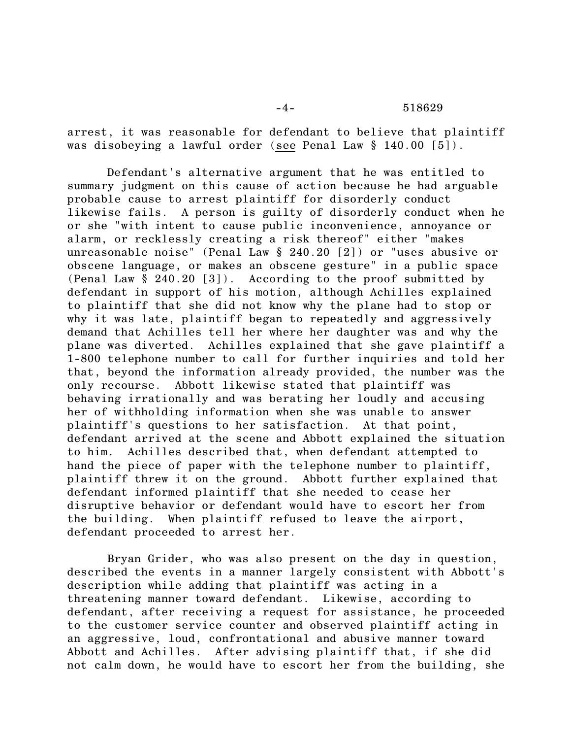## -4- 518629

arrest, it was reasonable for defendant to believe that plaintiff was disobeying a lawful order (see Penal Law § 140.00 [5]).

Defendant's alternative argument that he was entitled to summary judgment on this cause of action because he had arguable probable cause to arrest plaintiff for disorderly conduct likewise fails. A person is guilty of disorderly conduct when he or she "with intent to cause public inconvenience, annoyance or alarm, or recklessly creating a risk thereof" either "makes unreasonable noise" (Penal Law § 240.20 [2]) or "uses abusive or obscene language, or makes an obscene gesture" in a public space (Penal Law § 240.20 [3]). According to the proof submitted by defendant in support of his motion, although Achilles explained to plaintiff that she did not know why the plane had to stop or why it was late, plaintiff began to repeatedly and aggressively demand that Achilles tell her where her daughter was and why the plane was diverted. Achilles explained that she gave plaintiff a 1-800 telephone number to call for further inquiries and told her that, beyond the information already provided, the number was the only recourse. Abbott likewise stated that plaintiff was behaving irrationally and was berating her loudly and accusing her of withholding information when she was unable to answer plaintiff's questions to her satisfaction. At that point, defendant arrived at the scene and Abbott explained the situation to him. Achilles described that, when defendant attempted to hand the piece of paper with the telephone number to plaintiff, plaintiff threw it on the ground. Abbott further explained that defendant informed plaintiff that she needed to cease her disruptive behavior or defendant would have to escort her from the building. When plaintiff refused to leave the airport, defendant proceeded to arrest her.

Bryan Grider, who was also present on the day in question, described the events in a manner largely consistent with Abbott's description while adding that plaintiff was acting in a threatening manner toward defendant. Likewise, according to defendant, after receiving a request for assistance, he proceeded to the customer service counter and observed plaintiff acting in an aggressive, loud, confrontational and abusive manner toward Abbott and Achilles. After advising plaintiff that, if she did not calm down, he would have to escort her from the building, she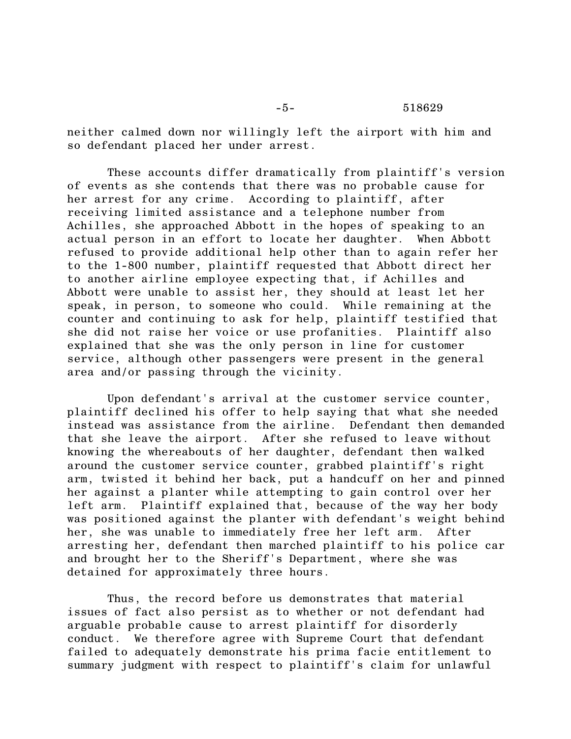-5- 518629

neither calmed down nor willingly left the airport with him and so defendant placed her under arrest.

These accounts differ dramatically from plaintiff's version of events as she contends that there was no probable cause for her arrest for any crime. According to plaintiff, after receiving limited assistance and a telephone number from Achilles, she approached Abbott in the hopes of speaking to an actual person in an effort to locate her daughter. When Abbott refused to provide additional help other than to again refer her to the 1-800 number, plaintiff requested that Abbott direct her to another airline employee expecting that, if Achilles and Abbott were unable to assist her, they should at least let her speak, in person, to someone who could. While remaining at the counter and continuing to ask for help, plaintiff testified that she did not raise her voice or use profanities. Plaintiff also explained that she was the only person in line for customer service, although other passengers were present in the general area and/or passing through the vicinity.

Upon defendant's arrival at the customer service counter, plaintiff declined his offer to help saying that what she needed instead was assistance from the airline. Defendant then demanded that she leave the airport. After she refused to leave without knowing the whereabouts of her daughter, defendant then walked around the customer service counter, grabbed plaintiff's right arm, twisted it behind her back, put a handcuff on her and pinned her against a planter while attempting to gain control over her left arm. Plaintiff explained that, because of the way her body was positioned against the planter with defendant's weight behind her, she was unable to immediately free her left arm. After arresting her, defendant then marched plaintiff to his police car and brought her to the Sheriff's Department, where she was detained for approximately three hours.

Thus, the record before us demonstrates that material issues of fact also persist as to whether or not defendant had arguable probable cause to arrest plaintiff for disorderly conduct. We therefore agree with Supreme Court that defendant failed to adequately demonstrate his prima facie entitlement to summary judgment with respect to plaintiff's claim for unlawful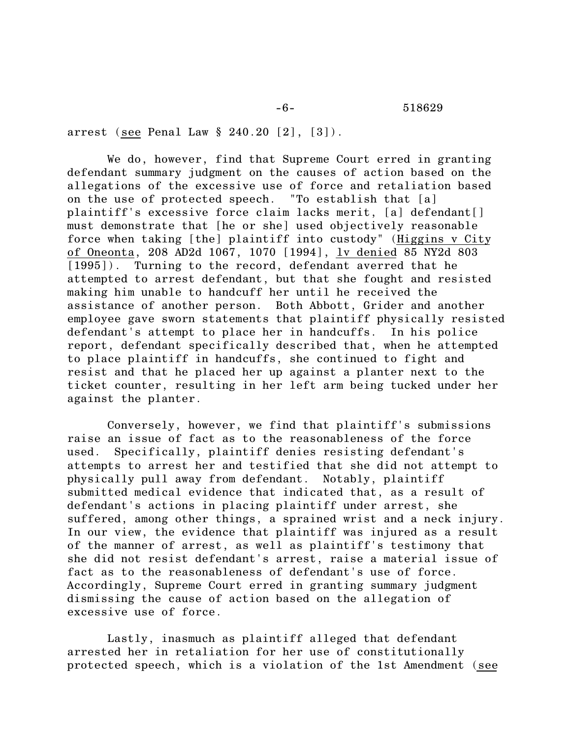arrest (see Penal Law § 240.20 [2], [3]).

We do, however, find that Supreme Court erred in granting defendant summary judgment on the causes of action based on the allegations of the excessive use of force and retaliation based on the use of protected speech. "To establish that [a] plaintiff's excessive force claim lacks merit, [a] defendant[] must demonstrate that [he or she] used objectively reasonable force when taking [the] plaintiff into custody" (Higgins v City of Oneonta, 208 AD2d 1067, 1070 [1994], lv denied 85 NY2d 803 [1995]). Turning to the record, defendant averred that he attempted to arrest defendant, but that she fought and resisted making him unable to handcuff her until he received the assistance of another person. Both Abbott, Grider and another employee gave sworn statements that plaintiff physically resisted defendant's attempt to place her in handcuffs. In his police report, defendant specifically described that, when he attempted to place plaintiff in handcuffs, she continued to fight and resist and that he placed her up against a planter next to the ticket counter, resulting in her left arm being tucked under her against the planter.

Conversely, however, we find that plaintiff's submissions raise an issue of fact as to the reasonableness of the force used. Specifically, plaintiff denies resisting defendant's attempts to arrest her and testified that she did not attempt to physically pull away from defendant. Notably, plaintiff submitted medical evidence that indicated that, as a result of defendant's actions in placing plaintiff under arrest, she suffered, among other things, a sprained wrist and a neck injury. In our view, the evidence that plaintiff was injured as a result of the manner of arrest, as well as plaintiff's testimony that she did not resist defendant's arrest, raise a material issue of fact as to the reasonableness of defendant's use of force. Accordingly, Supreme Court erred in granting summary judgment dismissing the cause of action based on the allegation of excessive use of force.

Lastly, inasmuch as plaintiff alleged that defendant arrested her in retaliation for her use of constitutionally protected speech, which is a violation of the 1st Amendment (see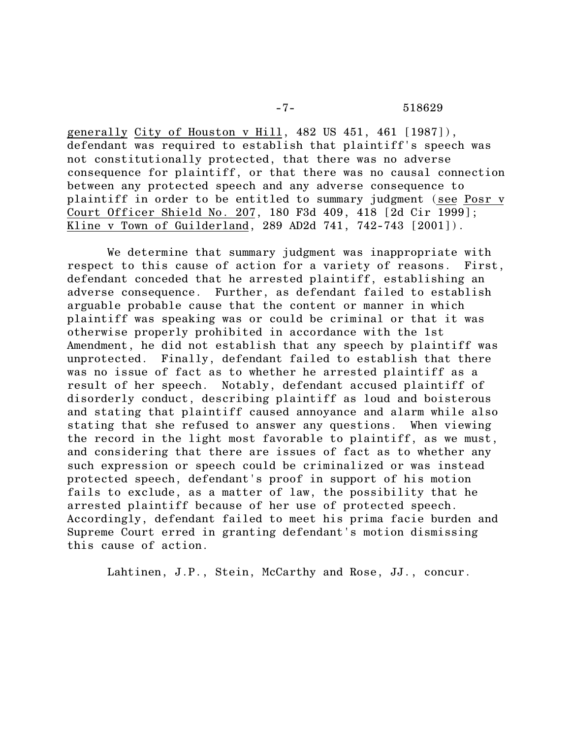generally City of Houston v Hill, 482 US 451, 461 [1987]), defendant was required to establish that plaintiff's speech was not constitutionally protected, that there was no adverse consequence for plaintiff, or that there was no causal connection between any protected speech and any adverse consequence to plaintiff in order to be entitled to summary judgment (see Posr v Court Officer Shield No. 207, 180 F3d 409, 418 [2d Cir 1999]; Kline v Town of Guilderland, 289 AD2d 741, 742-743 [2001]).

We determine that summary judgment was inappropriate with respect to this cause of action for a variety of reasons. First, defendant conceded that he arrested plaintiff, establishing an adverse consequence. Further, as defendant failed to establish arguable probable cause that the content or manner in which plaintiff was speaking was or could be criminal or that it was otherwise properly prohibited in accordance with the 1st Amendment, he did not establish that any speech by plaintiff was unprotected. Finally, defendant failed to establish that there was no issue of fact as to whether he arrested plaintiff as a result of her speech. Notably, defendant accused plaintiff of disorderly conduct, describing plaintiff as loud and boisterous and stating that plaintiff caused annoyance and alarm while also stating that she refused to answer any questions. When viewing the record in the light most favorable to plaintiff, as we must, and considering that there are issues of fact as to whether any such expression or speech could be criminalized or was instead protected speech, defendant's proof in support of his motion fails to exclude, as a matter of law, the possibility that he arrested plaintiff because of her use of protected speech. Accordingly, defendant failed to meet his prima facie burden and Supreme Court erred in granting defendant's motion dismissing this cause of action.

Lahtinen, J.P., Stein, McCarthy and Rose, JJ., concur.